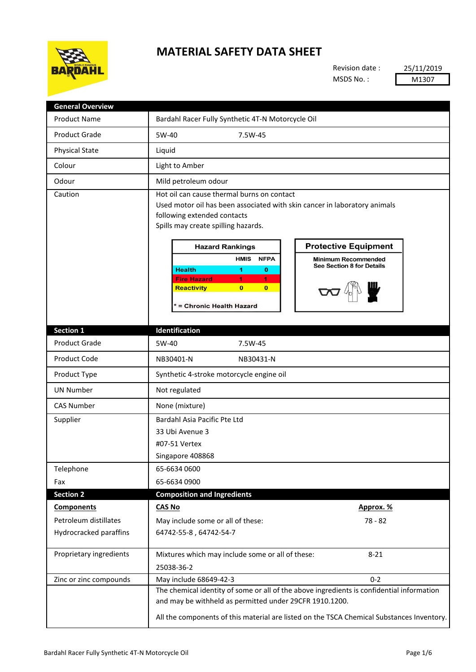

## **MATERIAL SAFETY DATA SHEET**

Revision date : MSDS No. :

25/11/2019 M1307

| <b>General Overview</b> |                                                                                                                                                                                                                                                                                                                                                                                                                                                                                  |
|-------------------------|----------------------------------------------------------------------------------------------------------------------------------------------------------------------------------------------------------------------------------------------------------------------------------------------------------------------------------------------------------------------------------------------------------------------------------------------------------------------------------|
| <b>Product Name</b>     | Bardahl Racer Fully Synthetic 4T-N Motorcycle Oil                                                                                                                                                                                                                                                                                                                                                                                                                                |
| <b>Product Grade</b>    | 5W-40<br>7.5W-45                                                                                                                                                                                                                                                                                                                                                                                                                                                                 |
| <b>Physical State</b>   | Liquid                                                                                                                                                                                                                                                                                                                                                                                                                                                                           |
| Colour                  | Light to Amber                                                                                                                                                                                                                                                                                                                                                                                                                                                                   |
| Odour                   | Mild petroleum odour                                                                                                                                                                                                                                                                                                                                                                                                                                                             |
| Caution                 | Hot oil can cause thermal burns on contact<br>Used motor oil has been associated with skin cancer in laboratory animals<br>following extended contacts<br>Spills may create spilling hazards.<br><b>Protective Equipment</b><br><b>Hazard Rankings</b><br><b>HMIS</b><br><b>NFPA</b><br><b>Minimum Recommended</b><br>See Section 8 for Details<br><b>Health</b><br>0<br>1.<br>1<br><b>Fire Hazard</b><br>1<br>Reactivity<br>$\bf{0}$<br>$\mathbf{0}$<br>= Chronic Health Hazard |
| <b>Section 1</b>        | Identification                                                                                                                                                                                                                                                                                                                                                                                                                                                                   |
| <b>Product Grade</b>    | 5W-40<br>7.5W-45                                                                                                                                                                                                                                                                                                                                                                                                                                                                 |
| <b>Product Code</b>     | NB30401-N<br>NB30431-N                                                                                                                                                                                                                                                                                                                                                                                                                                                           |
| Product Type            | Synthetic 4-stroke motorcycle engine oil                                                                                                                                                                                                                                                                                                                                                                                                                                         |
| <b>UN Number</b>        | Not regulated                                                                                                                                                                                                                                                                                                                                                                                                                                                                    |
| <b>CAS Number</b>       | None (mixture)                                                                                                                                                                                                                                                                                                                                                                                                                                                                   |
| Supplier                | Bardahl Asia Pacific Pte Ltd<br>33 Ubi Avenue 3<br>#07-51 Vertex<br>Singapore 408868                                                                                                                                                                                                                                                                                                                                                                                             |
| Telephone               | 65-6634 0600                                                                                                                                                                                                                                                                                                                                                                                                                                                                     |
| Fax                     | 65-6634 0900                                                                                                                                                                                                                                                                                                                                                                                                                                                                     |
| <b>Section 2</b>        | <b>Composition and Ingredients</b>                                                                                                                                                                                                                                                                                                                                                                                                                                               |
| <b>Components</b>       | <b>CAS No</b><br>Approx. %                                                                                                                                                                                                                                                                                                                                                                                                                                                       |
| Petroleum distillates   | May include some or all of these:<br>78 - 82                                                                                                                                                                                                                                                                                                                                                                                                                                     |
| Hydrocracked paraffins  | 64742-55-8, 64742-54-7                                                                                                                                                                                                                                                                                                                                                                                                                                                           |
| Proprietary ingredients | Mixtures which may include some or all of these:<br>$8 - 21$<br>25038-36-2                                                                                                                                                                                                                                                                                                                                                                                                       |
| Zinc or zinc compounds  | $0 - 2$<br>May include 68649-42-3                                                                                                                                                                                                                                                                                                                                                                                                                                                |
|                         | The chemical identity of some or all of the above ingredients is confidential information<br>and may be withheld as permitted under 29CFR 1910.1200.<br>All the components of this material are listed on the TSCA Chemical Substances Inventory.                                                                                                                                                                                                                                |
|                         |                                                                                                                                                                                                                                                                                                                                                                                                                                                                                  |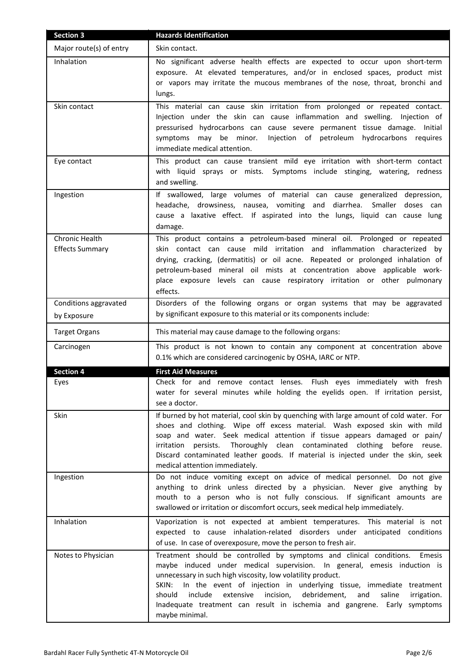| <b>Section 3</b>                         | <b>Hazards Identification</b>                                                                                                                                                                                                                                                                                                                                                                                                                                                                         |
|------------------------------------------|-------------------------------------------------------------------------------------------------------------------------------------------------------------------------------------------------------------------------------------------------------------------------------------------------------------------------------------------------------------------------------------------------------------------------------------------------------------------------------------------------------|
| Major route(s) of entry                  | Skin contact.                                                                                                                                                                                                                                                                                                                                                                                                                                                                                         |
| Inhalation                               | No significant adverse health effects are expected to occur upon short-term<br>exposure. At elevated temperatures, and/or in enclosed spaces, product mist<br>or vapors may irritate the mucous membranes of the nose, throat, bronchi and<br>lungs.                                                                                                                                                                                                                                                  |
| Skin contact                             | This material can cause skin irritation from prolonged or repeated contact.<br>Injection under the skin can cause inflammation and swelling. Injection of<br>pressurised hydrocarbons can cause severe permanent tissue damage. Initial<br>Injection of petroleum hydrocarbons requires<br>symptoms may be minor.<br>immediate medical attention.                                                                                                                                                     |
| Eye contact                              | This product can cause transient mild eye irritation with short-term contact<br>with liquid sprays or mists. Symptoms include stinging, watering, redness<br>and swelling.                                                                                                                                                                                                                                                                                                                            |
| Ingestion                                | If swallowed, large volumes of material can cause generalized depression,<br>headache, drowsiness, nausea, vomiting and diarrhea. Smaller doses can<br>cause a laxative effect. If aspirated into the lungs, liquid can cause lung<br>damage.                                                                                                                                                                                                                                                         |
| Chronic Health<br><b>Effects Summary</b> | This product contains a petroleum-based mineral oil. Prolonged or repeated<br>skin contact can cause mild irritation and inflammation characterized by<br>drying, cracking, (dermatitis) or oil acne. Repeated or prolonged inhalation of<br>petroleum-based mineral oil mists at concentration above applicable work-<br>place exposure levels can cause respiratory irritation or other pulmonary<br>effects.                                                                                       |
| Conditions aggravated                    | Disorders of the following organs or organ systems that may be aggravated                                                                                                                                                                                                                                                                                                                                                                                                                             |
| by Exposure                              | by significant exposure to this material or its components include:                                                                                                                                                                                                                                                                                                                                                                                                                                   |
| <b>Target Organs</b>                     | This material may cause damage to the following organs:                                                                                                                                                                                                                                                                                                                                                                                                                                               |
| Carcinogen                               | This product is not known to contain any component at concentration above<br>0.1% which are considered carcinogenic by OSHA, IARC or NTP.                                                                                                                                                                                                                                                                                                                                                             |
| <b>Section 4</b>                         | <b>First Aid Measures</b>                                                                                                                                                                                                                                                                                                                                                                                                                                                                             |
| Eyes                                     | Check for and remove contact lenses. Flush eyes immediately with fresh<br>water for several minutes while holding the eyelids open. If irritation persist,<br>see a doctor.                                                                                                                                                                                                                                                                                                                           |
| Skin                                     | If burned by hot material, cool skin by quenching with large amount of cold water. For<br>shoes and clothing. Wipe off excess material. Wash exposed skin with mild<br>soap and water. Seek medical attention if tissue appears damaged or pain/<br>Thoroughly clean contaminated clothing before reuse.<br>irritation persists.<br>Discard contaminated leather goods. If material is injected under the skin, seek<br>medical attention immediately.                                                |
| Ingestion                                | Do not induce vomiting except on advice of medical personnel. Do not give<br>anything to drink unless directed by a physician. Never give anything by<br>mouth to a person who is not fully conscious. If significant amounts are<br>swallowed or irritation or discomfort occurs, seek medical help immediately.                                                                                                                                                                                     |
| Inhalation                               | Vaporization is not expected at ambient temperatures. This material is not<br>expected to cause inhalation-related disorders under anticipated conditions<br>of use. In case of overexposure, move the person to fresh air.                                                                                                                                                                                                                                                                           |
| Notes to Physician                       | Treatment should be controlled by symptoms and clinical conditions.<br>Emesis<br>maybe induced under medical supervision. In general, emesis induction is<br>unnecessary in such high viscosity, low volatility product.<br>In the event of injection in underlying tissue, immediate treatment<br>SKIN:<br>include<br>extensive<br>incision,<br>debridement,<br>should<br>and<br>saline<br>irrigation.<br>Inadequate treatment can result in ischemia and gangrene. Early symptoms<br>maybe minimal. |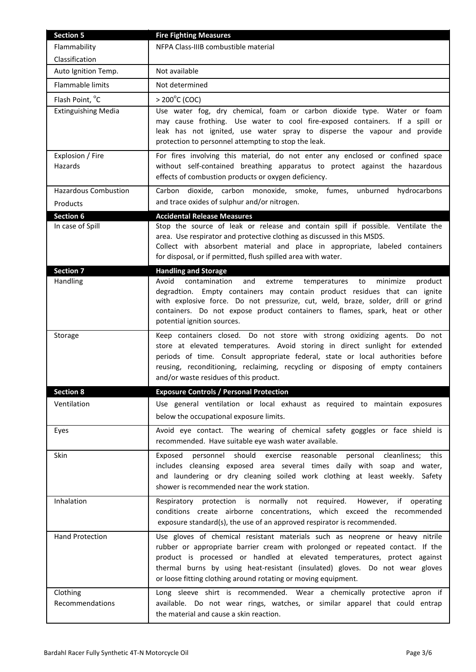| <b>Section 5</b>            | <b>Fire Fighting Measures</b>                                                                                                                                                                                                                                                                                                                                                                 |
|-----------------------------|-----------------------------------------------------------------------------------------------------------------------------------------------------------------------------------------------------------------------------------------------------------------------------------------------------------------------------------------------------------------------------------------------|
| Flammability                | NFPA Class-IIIB combustible material                                                                                                                                                                                                                                                                                                                                                          |
| Classification              |                                                                                                                                                                                                                                                                                                                                                                                               |
| Auto Ignition Temp.         | Not available                                                                                                                                                                                                                                                                                                                                                                                 |
| Flammable limits            | Not determined                                                                                                                                                                                                                                                                                                                                                                                |
| Flash Point, °C             | $> 200^{\circ}$ C (COC)                                                                                                                                                                                                                                                                                                                                                                       |
| <b>Extinguishing Media</b>  | Use water fog, dry chemical, foam or carbon dioxide type. Water or foam<br>may cause frothing. Use water to cool fire-exposed containers. If a spill or<br>leak has not ignited, use water spray to disperse the vapour and provide<br>protection to personnel attempting to stop the leak.                                                                                                   |
| Explosion / Fire<br>Hazards | For fires involving this material, do not enter any enclosed or confined space<br>without self-contained breathing apparatus to protect against the hazardous<br>effects of combustion products or oxygen deficiency.                                                                                                                                                                         |
| <b>Hazardous Combustion</b> | Carbon dioxide, carbon monoxide, smoke, fumes,<br>unburned hydrocarbons                                                                                                                                                                                                                                                                                                                       |
| Products                    | and trace oxides of sulphur and/or nitrogen.                                                                                                                                                                                                                                                                                                                                                  |
| <b>Section 6</b>            | <b>Accidental Release Measures</b>                                                                                                                                                                                                                                                                                                                                                            |
| In case of Spill            | Stop the source of leak or release and contain spill if possible. Ventilate the<br>area. Use respirator and protective clothing as discussed in this MSDS.<br>Collect with absorbent material and place in appropriate, labeled containers<br>for disposal, or if permitted, flush spilled area with water.                                                                                   |
| Section 7                   | <b>Handling and Storage</b>                                                                                                                                                                                                                                                                                                                                                                   |
| Handling                    | contamination<br>Avoid<br>and<br>extreme<br>temperatures<br>to<br>minimize<br>product<br>degradtion. Empty containers may contain product residues that can ignite<br>with explosive force. Do not pressurize, cut, weld, braze, solder, drill or grind<br>containers. Do not expose product containers to flames, spark, heat or other<br>potential ignition sources.                        |
| Storage                     | Keep containers closed. Do not store with strong oxidizing agents. Do not<br>store at elevated temperatures. Avoid storing in direct sunlight for extended<br>periods of time. Consult appropriate federal, state or local authorities before<br>reusing, reconditioning, reclaiming, recycling or disposing of empty containers<br>and/or waste residues of this product.                    |
| <b>Section 8</b>            | <b>Exposure Controls / Personal Protection</b>                                                                                                                                                                                                                                                                                                                                                |
| Ventilation                 | Use general ventilation or local exhaust as required to maintain exposures<br>below the occupational exposure limits.                                                                                                                                                                                                                                                                         |
| Eyes                        | Avoid eye contact. The wearing of chemical safety goggles or face shield is<br>recommended. Have suitable eye wash water available.                                                                                                                                                                                                                                                           |
| Skin                        | Exposed personnel should exercise reasonable<br>personal cleanliness; this<br>includes cleansing exposed area several times daily with soap and water,<br>and laundering or dry cleaning soiled work clothing at least weekly.<br>Safety<br>shower is recommended near the work station.                                                                                                      |
| Inhalation                  | Respiratory protection is normally not required.<br>However, if operating<br>conditions create airborne concentrations, which exceed the recommended<br>exposure standard(s), the use of an approved respirator is recommended.                                                                                                                                                               |
| <b>Hand Protection</b>      | Use gloves of chemical resistant materials such as neoprene or heavy nitrile<br>rubber or appropriate barrier cream with prolonged or repeated contact. If the<br>product is processed or handled at elevated temperatures, protect against<br>thermal burns by using heat-resistant (insulated) gloves. Do not wear gloves<br>or loose fitting clothing around rotating or moving equipment. |
| Clothing<br>Recommendations | Long sleeve shirt is recommended. Wear a chemically protective apron if<br>available. Do not wear rings, watches, or similar apparel that could entrap<br>the material and cause a skin reaction.                                                                                                                                                                                             |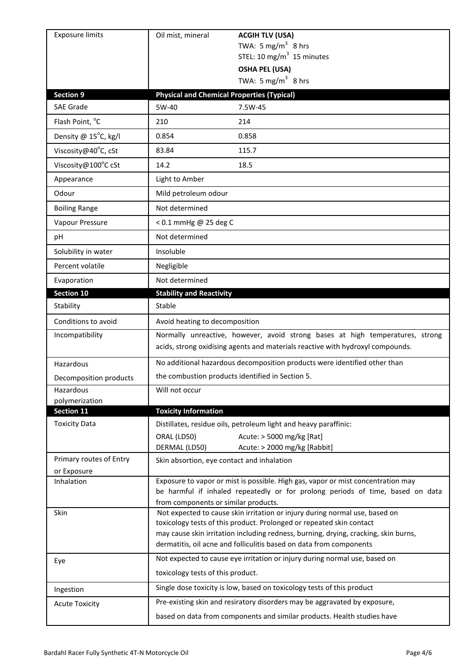| <b>Exposure limits</b>  | Oil mist, mineral<br><b>ACGIH TLV (USA)</b>                                                                                                                        |
|-------------------------|--------------------------------------------------------------------------------------------------------------------------------------------------------------------|
|                         | TWA: 5 mg/m <sup>3</sup> 8 hrs                                                                                                                                     |
|                         | STEL: 10 mg/m $3$ 15 minutes                                                                                                                                       |
|                         | <b>OSHA PEL (USA)</b><br>TWA: 5 mg/m <sup>3</sup> 8 hrs                                                                                                            |
| <b>Section 9</b>        |                                                                                                                                                                    |
| <b>SAE Grade</b>        | <b>Physical and Chemical Properties (Typical)</b><br>5W-40<br>7.5W-45                                                                                              |
| Flash Point, °C         | 210<br>214                                                                                                                                                         |
|                         |                                                                                                                                                                    |
| Density @ 15°C, kg/l    | 0.854<br>0.858                                                                                                                                                     |
| Viscosity@40°C, cSt     | 83.84<br>115.7                                                                                                                                                     |
| Viscosity@100°C cSt     | 14.2<br>18.5                                                                                                                                                       |
| Appearance              | Light to Amber                                                                                                                                                     |
| Odour                   | Mild petroleum odour                                                                                                                                               |
| <b>Boiling Range</b>    | Not determined                                                                                                                                                     |
| Vapour Pressure         | < 0.1 mmHg @ 25 deg C                                                                                                                                              |
| рH                      | Not determined                                                                                                                                                     |
| Solubility in water     | Insoluble                                                                                                                                                          |
| Percent volatile        | Negligible                                                                                                                                                         |
| Evaporation             | Not determined                                                                                                                                                     |
| Section 10              | <b>Stability and Reactivity</b>                                                                                                                                    |
| Stability               | Stable                                                                                                                                                             |
| Conditions to avoid     | Avoid heating to decomposition                                                                                                                                     |
| Incompatibility         | Normally unreactive, however, avoid strong bases at high temperatures, strong<br>acids, strong oxidising agents and materials reactive with hydroxyl compounds.    |
|                         |                                                                                                                                                                    |
| Hazardous               | No additional hazardous decomposition products were identified other than                                                                                          |
| Decomposition products  | the combustion products identified in Section 5.                                                                                                                   |
| Hazardous               | Will not occur                                                                                                                                                     |
| polymerization          |                                                                                                                                                                    |
| Section 11              | <b>Toxicity Information</b>                                                                                                                                        |
| <b>Toxicity Data</b>    | Distillates, residue oils, petroleum light and heavy paraffinic:                                                                                                   |
|                         | ORAL (LD50)<br>Acute: > 5000 mg/kg [Rat]<br>Acute: > 2000 mg/kg [Rabbit]<br>DERMAL (LD50)                                                                          |
| Primary routes of Entry | Skin absortion, eye contact and inhalation                                                                                                                         |
| or Exposure             |                                                                                                                                                                    |
| Inhalation              | Exposure to vapor or mist is possible. High gas, vapor or mist concentration may<br>be harmful if inhaled repeatedly or for prolong periods of time, based on data |
| Skin                    | from components or similar products.                                                                                                                               |
|                         | Not expected to cause skin irritation or injury during normal use, based on<br>toxicology tests of this product. Prolonged or repeated skin contact                |
|                         | may cause skin irritation including redness, burning, drying, cracking, skin burns,<br>dermatitis, oil acne and folliculitis based on data from components         |
| Eye                     | Not expected to cause eye irritation or injury during normal use, based on                                                                                         |
|                         | toxicology tests of this product.                                                                                                                                  |
| Ingestion               | Single dose toxicity is low, based on toxicology tests of this product                                                                                             |
| <b>Acute Toxicity</b>   | Pre-existing skin and resiratory disorders may be aggravated by exposure,                                                                                          |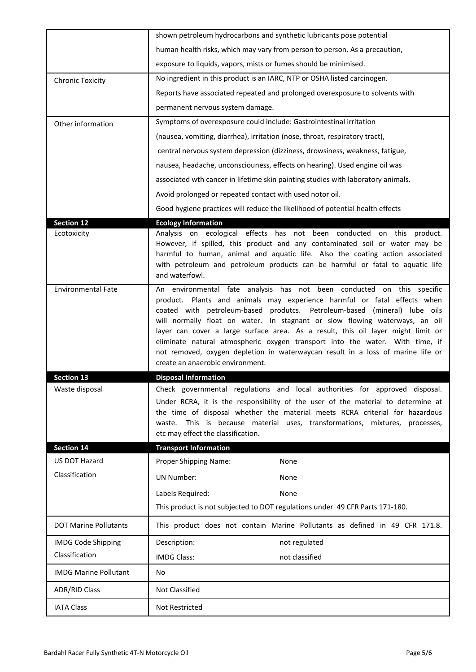|                              | shown petroleum hydrocarbons and synthetic lubricants pose potential                                                                                                                                                                                                                                                                                                                                                                                                               |
|------------------------------|------------------------------------------------------------------------------------------------------------------------------------------------------------------------------------------------------------------------------------------------------------------------------------------------------------------------------------------------------------------------------------------------------------------------------------------------------------------------------------|
|                              | human health risks, which may vary from person to person. As a precaution,                                                                                                                                                                                                                                                                                                                                                                                                         |
|                              | exposure to liquids, vapors, mists or fumes should be minimised.                                                                                                                                                                                                                                                                                                                                                                                                                   |
| <b>Chronic Toxicity</b>      | No ingredient in this product is an IARC, NTP or OSHA listed carcinogen.                                                                                                                                                                                                                                                                                                                                                                                                           |
|                              | Reports have associated repeated and prolonged overexposure to solvents with                                                                                                                                                                                                                                                                                                                                                                                                       |
|                              | permanent nervous system damage.                                                                                                                                                                                                                                                                                                                                                                                                                                                   |
| Other information            | Symptoms of overexposure could include: Gastrointestinal irritation                                                                                                                                                                                                                                                                                                                                                                                                                |
|                              | (nausea, vomiting, diarrhea), irritation (nose, throat, respiratory tract),                                                                                                                                                                                                                                                                                                                                                                                                        |
|                              | central nervous system depression (dizziness, drowsiness, weakness, fatigue,                                                                                                                                                                                                                                                                                                                                                                                                       |
|                              | nausea, headache, unconsciouness, effects on hearing). Used engine oil was                                                                                                                                                                                                                                                                                                                                                                                                         |
|                              | associated wth cancer in lifetime skin painting studies with laboratory animals.                                                                                                                                                                                                                                                                                                                                                                                                   |
|                              | Avoid prolonged or repeated contact with used notor oil.                                                                                                                                                                                                                                                                                                                                                                                                                           |
|                              | Good hygiene practices will reduce the likelihood of potential health effects                                                                                                                                                                                                                                                                                                                                                                                                      |
| <b>Section 12</b>            | <b>Ecology Information</b>                                                                                                                                                                                                                                                                                                                                                                                                                                                         |
| Ecotoxicity                  | Analysis on ecological effects has not been conducted on this product.<br>However, if spilled, this product and any contaminated soil or water may be<br>harmful to human, animal and aquatic life. Also the coating action associated<br>with petroleum and petroleum products can be harmful or fatal to aquatic life<br>and waterfowl.                                                                                                                                          |
| <b>Environmental Fate</b>    | An environmental fate analysis has not been conducted on this specific<br>product. Plants and animals may experience harmful or fatal effects when<br>coated with petroleum-based produtcs. Petroleum-based (mineral) lube oils<br>will normally float on water. In stagnant or slow flowing waterways, an oil<br>layer can cover a large surface area. As a result, this oil layer might limit or<br>eliminate natural atmospheric oxygen transport into the water. With time, if |
|                              | not removed, oxygen depletion in waterwaycan result in a loss of marine life or<br>create an anaerobic environment.                                                                                                                                                                                                                                                                                                                                                                |
| <b>Section 13</b>            | <b>Disposal Information</b>                                                                                                                                                                                                                                                                                                                                                                                                                                                        |
| Waste disposal               | Check governmental regulations and local authorities for approved disposal.<br>Under RCRA, it is the responsibility of the user of the material to determine at<br>the time of disposal whether the material meets RCRA criterial for hazardous<br>This is because material uses, transformations, mixtures, processes,<br>waste.<br>etc may effect the classification.                                                                                                            |
| <b>Section 14</b>            | <b>Transport Information</b>                                                                                                                                                                                                                                                                                                                                                                                                                                                       |
| US DOT Hazard                | Proper Shipping Name:<br>None                                                                                                                                                                                                                                                                                                                                                                                                                                                      |
| Classification               | <b>UN Number:</b><br>None                                                                                                                                                                                                                                                                                                                                                                                                                                                          |
|                              | Labels Required:<br>None                                                                                                                                                                                                                                                                                                                                                                                                                                                           |
|                              | This product is not subjected to DOT regulations under 49 CFR Parts 171-180.                                                                                                                                                                                                                                                                                                                                                                                                       |
| <b>DOT Marine Pollutants</b> | This product does not contain Marine Pollutants as defined in 49 CFR 171.8.                                                                                                                                                                                                                                                                                                                                                                                                        |
| <b>IMDG Code Shipping</b>    | Description:<br>not regulated                                                                                                                                                                                                                                                                                                                                                                                                                                                      |
| Classification               | not classified<br><b>IMDG Class:</b>                                                                                                                                                                                                                                                                                                                                                                                                                                               |
| <b>IMDG Marine Pollutant</b> | No                                                                                                                                                                                                                                                                                                                                                                                                                                                                                 |
| <b>ADR/RID Class</b>         | Not Classified                                                                                                                                                                                                                                                                                                                                                                                                                                                                     |